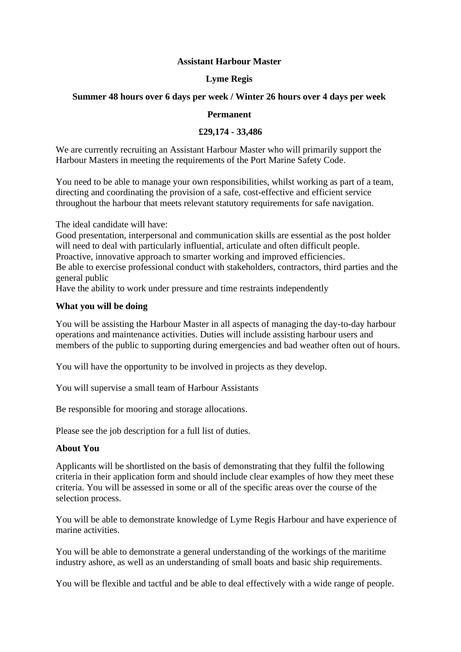# **Assistant Harbour Master**

## **Lyme Regis**

# **Summer 48 hours over 6 days per week / Winter 26 hours over 4 days per week**

#### **Permanent**

#### **£29,174 - 33,486**

We are currently recruiting an Assistant Harbour Master who will primarily support the Harbour Masters in meeting the requirements of the Port Marine Safety Code.

You need to be able to manage your own responsibilities, whilst working as part of a team, directing and coordinating the provision of a safe, cost-effective and efficient service throughout the harbour that meets relevant statutory requirements for safe navigation.

The ideal candidate will have:

Good presentation, interpersonal and communication skills are essential as the post holder will need to deal with particularly influential, articulate and often difficult people. Proactive, innovative approach to smarter working and improved efficiencies.

Be able to exercise professional conduct with stakeholders, contractors, third parties and the general public

Have the ability to work under pressure and time restraints independently

#### **What you will be doing**

You will be assisting the Harbour Master in all aspects of managing the day-to-day harbour operations and maintenance activities. Duties will include assisting harbour users and members of the public to supporting during emergencies and bad weather often out of hours.

You will have the opportunity to be involved in projects as they develop.

You will supervise a small team of Harbour Assistants

Be responsible for mooring and storage allocations.

Please see the job description for a full list of duties.

#### **About You**

Applicants will be shortlisted on the basis of demonstrating that they fulfil the following criteria in their application form and should include clear examples of how they meet these criteria. You will be assessed in some or all of the specific areas over the course of the selection process.

You will be able to demonstrate knowledge of Lyme Regis Harbour and have experience of marine activities.

You will be able to demonstrate a general understanding of the workings of the maritime industry ashore, as well as an understanding of small boats and basic ship requirements.

You will be flexible and tactful and be able to deal effectively with a wide range of people.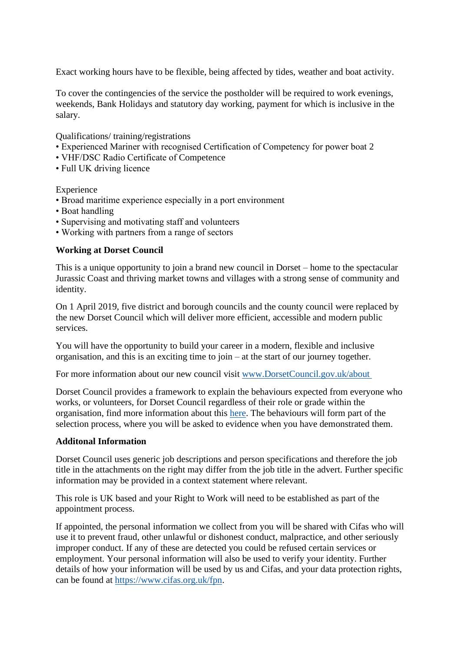Exact working hours have to be flexible, being affected by tides, weather and boat activity.

To cover the contingencies of the service the postholder will be required to work evenings, weekends, Bank Holidays and statutory day working, payment for which is inclusive in the salary.

Qualifications/ training/registrations

- Experienced Mariner with recognised Certification of Competency for power boat 2
- VHF/DSC Radio Certificate of Competence
- Full UK driving licence

Experience

- Broad maritime experience especially in a port environment
- Boat handling
- Supervising and motivating staff and volunteers
- Working with partners from a range of sectors

# **Working at Dorset Council**

This is a unique opportunity to join a brand new council in Dorset – home to the spectacular Jurassic Coast and thriving market towns and villages with a strong sense of community and identity.

On 1 April 2019, five district and borough councils and the county council were replaced by the new Dorset Council which will deliver more efficient, accessible and modern public services.

You will have the opportunity to build your career in a modern, flexible and inclusive organisation, and this is an exciting time to join – at the start of our journey together.

For more information about our new council visit [www.DorsetCouncil.gov.uk/about](https://www.dorsetcouncil.gov.uk/jobs-and-careers/a-great-place-to-work)

Dorset Council provides a framework to explain the behaviours expected from everyone who works, or volunteers, for Dorset Council regardless of their role or grade within the organisation, find more information about this [here.](https://www.dorsetcouncil.gov.uk/your-council/about-your-council/dorset-council-plan/our-behaviours) The behaviours will form part of the selection process, where you will be asked to evidence when you have demonstrated them.

#### **Additonal Information**

Dorset Council uses generic job descriptions and person specifications and therefore the job title in the attachments on the right may differ from the job title in the advert. Further specific information may be provided in a context statement where relevant.

This role is UK based and your Right to Work will need to be established as part of the appointment process.

If appointed, the personal information we collect from you will be shared with Cifas who will use it to prevent fraud, other unlawful or dishonest conduct, malpractice, and other seriously improper conduct. If any of these are detected you could be refused certain services or employment. Your personal information will also be used to verify your identity. Further details of how your information will be used by us and Cifas, and your data protection rights, can be found at [https://www.cifas.org.uk/fpn.](https://www.cifas.org.uk/fpn)